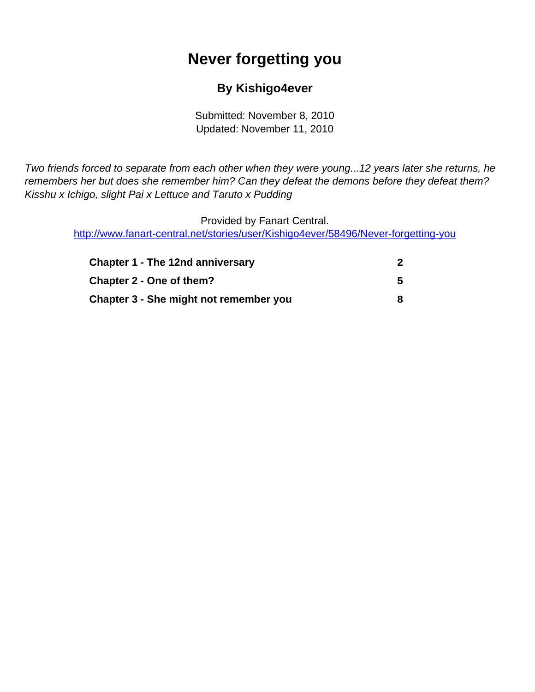# **Never forgetting you**

#### **By Kishigo4ever**

Submitted: November 8, 2010 Updated: November 11, 2010

<span id="page-0-0"></span>Two friends forced to separate from each other when they were young...12 years later she returns, he remembers her but does she remember him? Can they defeat the demons before they defeat them? Kisshu x Ichigo, slight Pai x Lettuce and Taruto x Pudding

Provided by Fanart Central. [http://www.fanart-central.net/stories/user/Kishigo4ever/58496/Never-forgetting-you](#page-0-0)

| <b>Chapter 1 - The 12nd anniversary</b> |    |
|-----------------------------------------|----|
| <b>Chapter 2 - One of them?</b>         | 5. |
| Chapter 3 - She might not remember you  |    |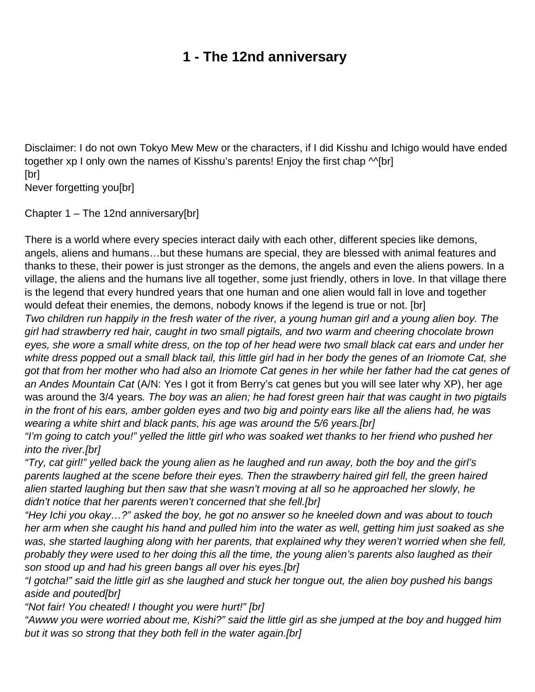# **1 - The 12nd anniversary**

<span id="page-1-0"></span>Disclaimer: I do not own Tokyo Mew Mew or the characters, if I did Kisshu and Ichigo would have ended together xp I only own the names of Kisshu's parents! Enjoy the first chap M[br] [br] Never forgetting you[br]

Chapter 1 – The 12nd anniversary[br]

There is a world where every species interact daily with each other, different species like demons, angels, aliens and humans…but these humans are special, they are blessed with animal features and thanks to these, their power is just stronger as the demons, the angels and even the aliens powers. In a village, the aliens and the humans live all together, some just friendly, others in love. In that village there is the legend that every hundred years that one human and one alien would fall in love and together would defeat their enemies, the demons, nobody knows if the legend is true or not. [br]

Two children run happily in the fresh water of the river, a young human girl and a young alien boy. The girl had strawberry red hair, caught in two small pigtails, and two warm and cheering chocolate brown eyes, she wore a small white dress, on the top of her head were two small black cat ears and under her white dress popped out a small black tail, this little girl had in her body the genes of an Iriomote Cat, she got that from her mother who had also an Iriomote Cat genes in her while her father had the cat genes of an Andes Mountain Cat (A/N: Yes I got it from Berry's cat genes but you will see later why XP), her age was around the 3/4 years. The boy was an alien; he had forest green hair that was caught in two pigtails in the front of his ears, amber golden eyes and two big and pointy ears like all the aliens had, he was wearing a white shirt and black pants, his age was around the 5/6 years.[br]

"I'm going to catch you!" yelled the little girl who was soaked wet thanks to her friend who pushed her into the river.[br]

"Try, cat girl!" yelled back the young alien as he laughed and run away, both the boy and the girl's parents laughed at the scene before their eyes. Then the strawberry haired girl fell, the green haired alien started laughing but then saw that she wasn't moving at all so he approached her slowly, he didn't notice that her parents weren't concerned that she fell.[br]

"Hey Ichi you okay…?" asked the boy, he got no answer so he kneeled down and was about to touch her arm when she caught his hand and pulled him into the water as well, getting him just soaked as she was, she started laughing along with her parents, that explained why they weren't worried when she fell, probably they were used to her doing this all the time, the young alien's parents also laughed as their son stood up and had his green bangs all over his eyes.[br]

"I gotcha!" said the little girl as she laughed and stuck her tongue out, the alien boy pushed his bangs aside and pouted[br]

"Not fair! You cheated! I thought you were hurt!" [br]

"Awww you were worried about me, Kishi?" said the little girl as she jumped at the boy and hugged him but it was so strong that they both fell in the water again.[br]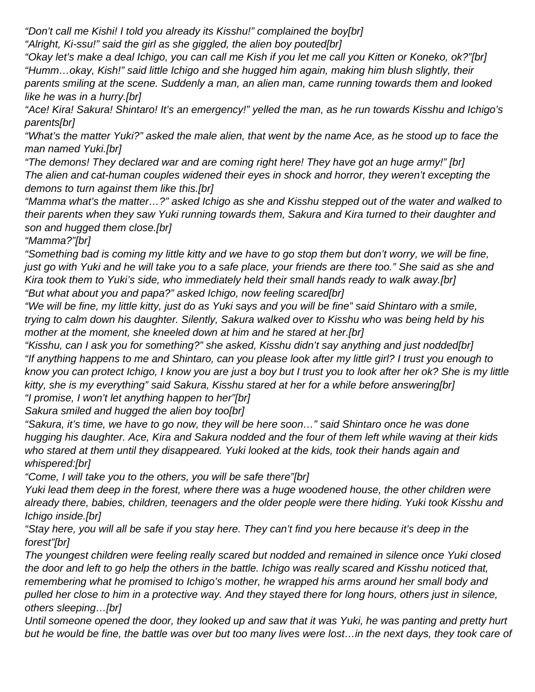"Don't call me Kishi! I told you already its Kisshu!" complained the boy[br]

"Alright, Ki-ssu!" said the girl as she giggled, the alien boy pouted[br]

"Okay let's make a deal Ichigo, you can call me Kish if you let me call you Kitten or Koneko, ok?"[br] "Humm…okay, Kish!" said little Ichigo and she hugged him again, making him blush slightly, their parents smiling at the scene. Suddenly a man, an alien man, came running towards them and looked like he was in a hurry.[br]

"Ace! Kira! Sakura! Shintaro! It's an emergency!" yelled the man, as he run towards Kisshu and Ichigo's parents[br]

"What's the matter Yuki?" asked the male alien, that went by the name Ace, as he stood up to face the man named Yuki.[br]

"The demons! They declared war and are coming right here! They have got an huge army!" [br] The alien and cat-human couples widened their eyes in shock and horror, they weren't excepting the demons to turn against them like this.[br]

"Mamma what's the matter…?" asked Ichigo as she and Kisshu stepped out of the water and walked to their parents when they saw Yuki running towards them, Sakura and Kira turned to their daughter and son and hugged them close.[br]

"Mamma?"[br]

"Something bad is coming my little kitty and we have to go stop them but don't worry, we will be fine, just go with Yuki and he will take you to a safe place, your friends are there too." She said as she and Kira took them to Yuki's side, who immediately held their small hands ready to walk away.[br] "But what about you and papa?" asked Ichigo, now feeling scared[br]

"We will be fine, my little kitty, just do as Yuki says and you will be fine" said Shintaro with a smile, trying to calm down his daughter. Silently, Sakura walked over to Kisshu who was being held by his mother at the moment, she kneeled down at him and he stared at her.[br]

"Kisshu, can I ask you for something?" she asked, Kisshu didn't say anything and just nodded[br] "If anything happens to me and Shintaro, can you please look after my little girl? I trust you enough to know you can protect Ichigo, I know you are just a boy but I trust you to look after her ok? She is my little kitty, she is my everything" said Sakura, Kisshu stared at her for a while before answering[br] "I promise, I won't let anything happen to her"[br]

Sakura smiled and hugged the alien boy too[br]

"Sakura, it's time, we have to go now, they will be here soon…" said Shintaro once he was done hugging his daughter. Ace, Kira and Sakura nodded and the four of them left while waving at their kids who stared at them until they disappeared. Yuki looked at the kids, took their hands again and whispered:[br]

"Come, I will take you to the others, you will be safe there"[br]

Yuki lead them deep in the forest, where there was a huge woodened house, the other children were already there, babies, children, teenagers and the older people were there hiding. Yuki took Kisshu and Ichigo inside.[br]

"Stay here, you will all be safe if you stay here. They can't find you here because it's deep in the forest"[br]

The youngest children were feeling really scared but nodded and remained in silence once Yuki closed the door and left to go help the others in the battle. Ichigo was really scared and Kisshu noticed that, remembering what he promised to Ichigo's mother, he wrapped his arms around her small body and pulled her close to him in a protective way. And they stayed there for long hours, others just in silence, others sleeping…[br]

Until someone opened the door, they looked up and saw that it was Yuki, he was panting and pretty hurt but he would be fine, the battle was over but too many lives were lost…in the next days, they took care of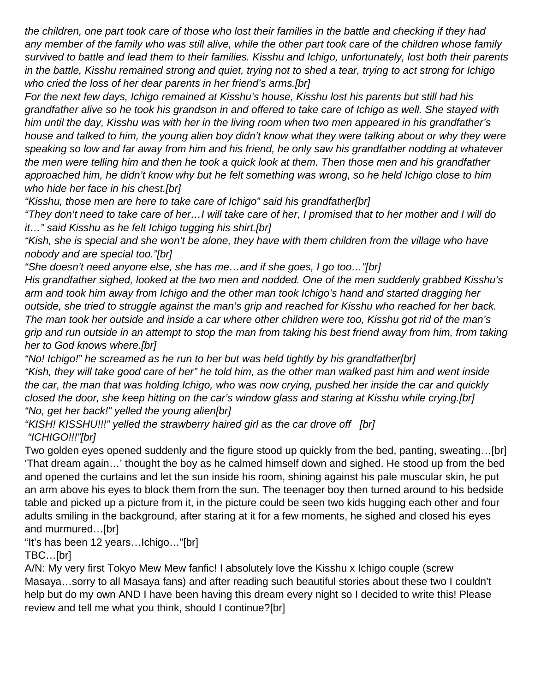the children, one part took care of those who lost their families in the battle and checking if they had any member of the family who was still alive, while the other part took care of the children whose family survived to battle and lead them to their families. Kisshu and Ichigo, unfortunately, lost both their parents in the battle, Kisshu remained strong and quiet, trying not to shed a tear, trying to act strong for Ichigo who cried the loss of her dear parents in her friend's arms.[br]

For the next few days, Ichigo remained at Kisshu's house, Kisshu lost his parents but still had his grandfather alive so he took his grandson in and offered to take care of Ichigo as well. She stayed with him until the day, Kisshu was with her in the living room when two men appeared in his grandfather's house and talked to him, the young alien boy didn't know what they were talking about or why they were speaking so low and far away from him and his friend, he only saw his grandfather nodding at whatever the men were telling him and then he took a quick look at them. Then those men and his grandfather approached him, he didn't know why but he felt something was wrong, so he held Ichigo close to him who hide her face in his chest.[br]

"Kisshu, those men are here to take care of Ichigo" said his grandfather[br]

"They don't need to take care of her…I will take care of her, I promised that to her mother and I will do it…" said Kisshu as he felt Ichigo tugging his shirt.[br]

"Kish, she is special and she won't be alone, they have with them children from the village who have nobody and are special too."[br]

"She doesn't need anyone else, she has me…and if she goes, I go too…"[br]

His grandfather sighed, looked at the two men and nodded. One of the men suddenly grabbed Kisshu's arm and took him away from Ichigo and the other man took Ichigo's hand and started dragging her outside, she tried to struggle against the man's grip and reached for Kisshu who reached for her back. The man took her outside and inside a car where other children were too, Kisshu got rid of the man's grip and run outside in an attempt to stop the man from taking his best friend away from him, from taking her to God knows where.[br]

"No! Ichigo!" he screamed as he run to her but was held tightly by his grandfather[br] "Kish, they will take good care of her" he told him, as the other man walked past him and went inside the car, the man that was holding Ichigo, who was now crying, pushed her inside the car and quickly closed the door, she keep hitting on the car's window glass and staring at Kisshu while crying.[br] "No, get her back!" yelled the young alien[br]

"KISH! KISSHU!!!" yelled the strawberry haired girl as the car drove off [br] "ICHIGO!!!"[br]

Two golden eyes opened suddenly and the figure stood up quickly from the bed, panting, sweating…[br] 'That dream again…' thought the boy as he calmed himself down and sighed. He stood up from the bed and opened the curtains and let the sun inside his room, shining against his pale muscular skin, he put an arm above his eyes to block them from the sun. The teenager boy then turned around to his bedside table and picked up a picture from it, in the picture could be seen two kids hugging each other and four adults smiling in the background, after staring at it for a few moments, he sighed and closed his eyes and murmured…[br]

"It's has been 12 years…Ichigo…"[br]

TBC…[br]

A/N: My very first Tokyo Mew Mew fanfic! I absolutely love the Kisshu x Ichigo couple (screw Masaya…sorry to all Masaya fans) and after reading such beautiful stories about these two I couldn't help but do my own AND I have been having this dream every night so I decided to write this! Please review and tell me what you think, should I continue?[br]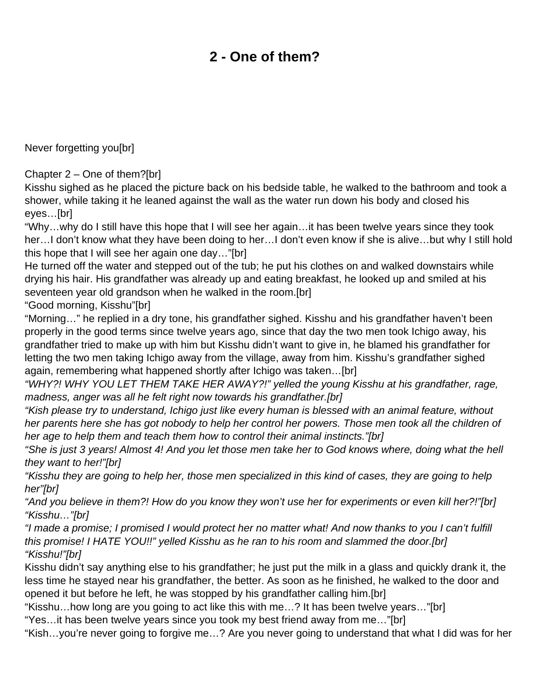## **2 - One of them?**

<span id="page-4-0"></span>Never forgetting you[br]

Chapter 2 – One of them?[br]

Kisshu sighed as he placed the picture back on his bedside table, he walked to the bathroom and took a shower, while taking it he leaned against the wall as the water run down his body and closed his eyes…[br]

"Why…why do I still have this hope that I will see her again…it has been twelve years since they took her…I don't know what they have been doing to her…I don't even know if she is alive…but why I still hold this hope that I will see her again one day…"[br]

He turned off the water and stepped out of the tub; he put his clothes on and walked downstairs while drying his hair. His grandfather was already up and eating breakfast, he looked up and smiled at his seventeen year old grandson when he walked in the room.[br]

"Good morning, Kisshu"[br]

"Morning…" he replied in a dry tone, his grandfather sighed. Kisshu and his grandfather haven't been properly in the good terms since twelve years ago, since that day the two men took Ichigo away, his grandfather tried to make up with him but Kisshu didn't want to give in, he blamed his grandfather for letting the two men taking Ichigo away from the village, away from him. Kisshu's grandfather sighed again, remembering what happened shortly after Ichigo was taken…[br]

"WHY?! WHY YOU LET THEM TAKE HER AWAY?!" yelled the young Kisshu at his grandfather, rage, madness, anger was all he felt right now towards his grandfather.[br]

"Kish please try to understand, Ichigo just like every human is blessed with an animal feature, without her parents here she has got nobody to help her control her powers. Those men took all the children of her age to help them and teach them how to control their animal instincts."[br]

"She is just 3 years! Almost 4! And you let those men take her to God knows where, doing what the hell they want to her!"[br]

"Kisshu they are going to help her, those men specialized in this kind of cases, they are going to help her"[br]

"And you believe in them?! How do you know they won't use her for experiments or even kill her?!"[br] "Kisshu…"[br]

"I made a promise; I promised I would protect her no matter what! And now thanks to you I can't fulfill this promise! I HATE YOU!!" yelled Kisshu as he ran to his room and slammed the door.[br] "Kisshu!"[br]

Kisshu didn't say anything else to his grandfather; he just put the milk in a glass and quickly drank it, the less time he stayed near his grandfather, the better. As soon as he finished, he walked to the door and opened it but before he left, he was stopped by his grandfather calling him.[br]

"Kisshu…how long are you going to act like this with me…? It has been twelve years…"[br]

"Yes…it has been twelve years since you took my best friend away from me…"[br]

"Kish…you're never going to forgive me…? Are you never going to understand that what I did was for her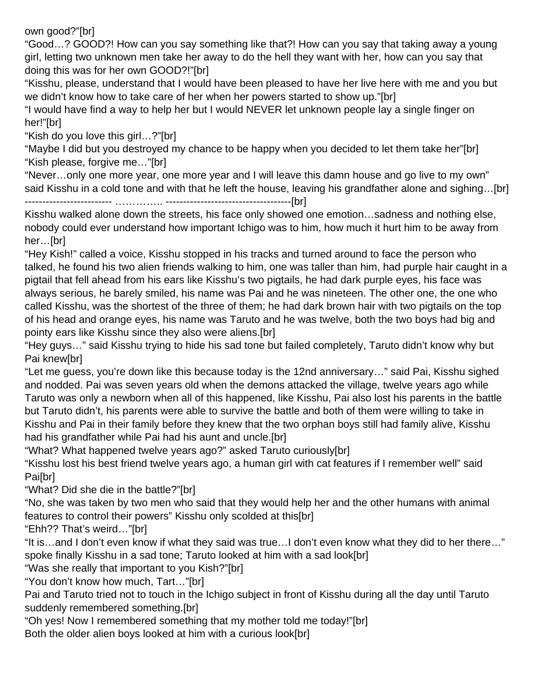own good?"[br]

"Good…? GOOD?! How can you say something like that?! How can you say that taking away a young girl, letting two unknown men take her away to do the hell they want with her, how can you say that doing this was for her own GOOD?!"[br]

"Kisshu, please, understand that I would have been pleased to have her live here with me and you but we didn't know how to take care of her when her powers started to show up."[br]

"I would have find a way to help her but I would NEVER let unknown people lay a single finger on her!"[br]

"Kish do you love this girl…?"[br]

"Maybe I did but you destroyed my chance to be happy when you decided to let them take her"[br] "Kish please, forgive me…"[br]

"Never…only one more year, one more year and I will leave this damn house and go live to my own" said Kisshu in a cold tone and with that he left the house, leaving his grandfather alone and sighing…[br]

------------------------- ………….. ------------------------------------[br]

Kisshu walked alone down the streets, his face only showed one emotion…sadness and nothing else, nobody could ever understand how important Ichigo was to him, how much it hurt him to be away from her…[br]

"Hey Kish!" called a voice, Kisshu stopped in his tracks and turned around to face the person who talked, he found his two alien friends walking to him, one was taller than him, had purple hair caught in a pigtail that fell ahead from his ears like Kisshu's two pigtails, he had dark purple eyes, his face was always serious, he barely smiled, his name was Pai and he was nineteen. The other one, the one who called Kisshu, was the shortest of the three of them; he had dark brown hair with two pigtails on the top of his head and orange eyes, his name was Taruto and he was twelve, both the two boys had big and pointy ears like Kisshu since they also were aliens.[br]

"Hey guys…" said Kisshu trying to hide his sad tone but failed completely, Taruto didn't know why but Pai knew[br]

"Let me guess, you're down like this because today is the 12nd anniversary…" said Pai, Kisshu sighed and nodded. Pai was seven years old when the demons attacked the village, twelve years ago while Taruto was only a newborn when all of this happened, like Kisshu, Pai also lost his parents in the battle but Taruto didn't, his parents were able to survive the battle and both of them were willing to take in Kisshu and Pai in their family before they knew that the two orphan boys still had family alive, Kisshu had his grandfather while Pai had his aunt and uncle.[br]

"What? What happened twelve years ago?" asked Taruto curiously[br]

"Kisshu lost his best friend twelve years ago, a human girl with cat features if I remember well" said **Pai**[br]

"What? Did she die in the battle?"[br]

"No, she was taken by two men who said that they would help her and the other humans with animal features to control their powers" Kisshu only scolded at this[br]

"Ehh?? That's weird…"[br]

"It is…and I don't even know if what they said was true…I don't even know what they did to her there…" spoke finally Kisshu in a sad tone; Taruto looked at him with a sad look[br]

"Was she really that important to you Kish?"[br]

"You don't know how much, Tart…"[br]

Pai and Taruto tried not to touch in the Ichigo subject in front of Kisshu during all the day until Taruto suddenly remembered something.[br]

"Oh yes! Now I remembered something that my mother told me today!"[br]

Both the older alien boys looked at him with a curious look[br]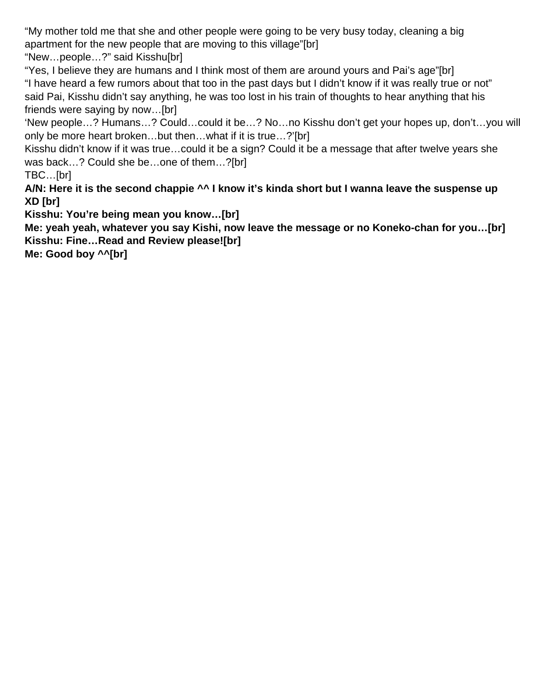"My mother told me that she and other people were going to be very busy today, cleaning a big apartment for the new people that are moving to this village"[br]

"New…people…?" said Kisshu[br]

"Yes, I believe they are humans and I think most of them are around yours and Pai's age"[br] "I have heard a few rumors about that too in the past days but I didn't know if it was really true or not" said Pai, Kisshu didn't say anything, he was too lost in his train of thoughts to hear anything that his friends were saying by now…[br]

'New people…? Humans…? Could…could it be…? No…no Kisshu don't get your hopes up, don't…you will only be more heart broken…but then…what if it is true…?'[br]

Kisshu didn't know if it was true…could it be a sign? Could it be a message that after twelve years she was back...? Could she be...one of them...?[br]

TBC…[br]

**A/N: Here it is the second chappie ^^ I know it's kinda short but I wanna leave the suspense up XD [br]**

**Kisshu: You're being mean you know…[br]**

**Me: yeah yeah, whatever you say Kishi, now leave the message or no Koneko-chan for you…[br] Kisshu: Fine…Read and Review please![br]**

**Me: Good boy ^^[br]**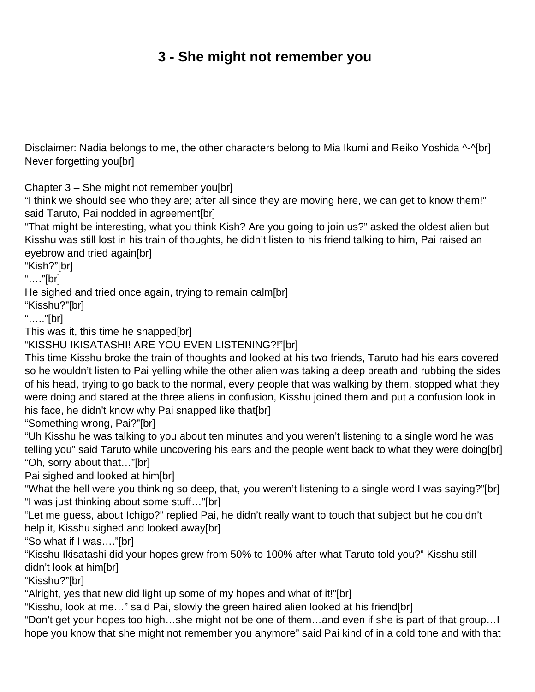## **3 - She might not remember you**

<span id="page-7-0"></span>Disclaimer: Nadia belongs to me, the other characters belong to Mia Ikumi and Reiko Yoshida ^-^[br] Never forgetting you[br]

Chapter 3 – She might not remember you[br]

"I think we should see who they are; after all since they are moving here, we can get to know them!" said Taruto, Pai nodded in agreement[br]

"That might be interesting, what you think Kish? Are you going to join us?" asked the oldest alien but Kisshu was still lost in his train of thoughts, he didn't listen to his friend talking to him, Pai raised an eyebrow and tried again[br]

"Kish?"[br]

"…."[br]

He sighed and tried once again, trying to remain calm[br]

"Kisshu?"[br]

"….."[br]

This was it, this time he snapped[br]

"KISSHU IKISATASHI! ARE YOU EVEN LISTENING?!"[br]

This time Kisshu broke the train of thoughts and looked at his two friends, Taruto had his ears covered so he wouldn't listen to Pai yelling while the other alien was taking a deep breath and rubbing the sides of his head, trying to go back to the normal, every people that was walking by them, stopped what they were doing and stared at the three aliens in confusion, Kisshu joined them and put a confusion look in his face, he didn't know why Pai snapped like that[br]

"Something wrong, Pai?"[br]

"Uh Kisshu he was talking to you about ten minutes and you weren't listening to a single word he was telling you" said Taruto while uncovering his ears and the people went back to what they were doing[br] "Oh, sorry about that…"[br]

Pai sighed and looked at him[br]

"What the hell were you thinking so deep, that, you weren't listening to a single word I was saying?"[br] "I was just thinking about some stuff…"[br]

"Let me guess, about Ichigo?" replied Pai, he didn't really want to touch that subject but he couldn't help it, Kisshu sighed and looked away[br]

"So what if I was…."[br]

"Kisshu Ikisatashi did your hopes grew from 50% to 100% after what Taruto told you?" Kisshu still didn't look at him[br]

"Kisshu?"[br]

"Alright, yes that new did light up some of my hopes and what of it!"[br]

"Kisshu, look at me…" said Pai, slowly the green haired alien looked at his friend[br]

"Don't get your hopes too high…she might not be one of them…and even if she is part of that group…I hope you know that she might not remember you anymore" said Pai kind of in a cold tone and with that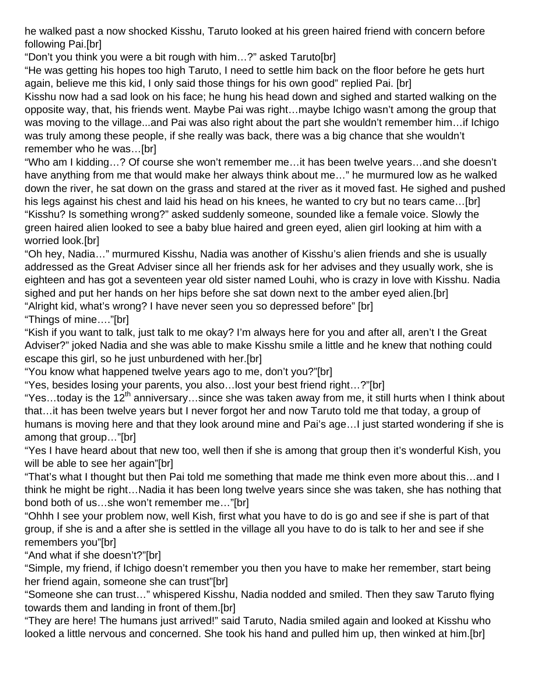he walked past a now shocked Kisshu, Taruto looked at his green haired friend with concern before following Pai.[br]

"Don't you think you were a bit rough with him…?" asked Taruto[br]

"He was getting his hopes too high Taruto, I need to settle him back on the floor before he gets hurt again, believe me this kid, I only said those things for his own good" replied Pai. [br]

Kisshu now had a sad look on his face; he hung his head down and sighed and started walking on the opposite way, that, his friends went. Maybe Pai was right…maybe Ichigo wasn't among the group that was moving to the village...and Pai was also right about the part she wouldn't remember him…if Ichigo was truly among these people, if she really was back, there was a big chance that she wouldn't remember who he was…[br]

"Who am I kidding…? Of course she won't remember me…it has been twelve years…and she doesn't have anything from me that would make her always think about me…" he murmured low as he walked down the river, he sat down on the grass and stared at the river as it moved fast. He sighed and pushed his legs against his chest and laid his head on his knees, he wanted to cry but no tears came...[br] "Kisshu? Is something wrong?" asked suddenly someone, sounded like a female voice. Slowly the green haired alien looked to see a baby blue haired and green eyed, alien girl looking at him with a worried look.[br]

"Oh hey, Nadia…" murmured Kisshu, Nadia was another of Kisshu's alien friends and she is usually addressed as the Great Adviser since all her friends ask for her advises and they usually work, she is eighteen and has got a seventeen year old sister named Louhi, who is crazy in love with Kisshu. Nadia sighed and put her hands on her hips before she sat down next to the amber eyed alien.[br] "Alright kid, what's wrong? I have never seen you so depressed before" [br]

"Things of mine…."[br]

"Kish if you want to talk, just talk to me okay? I'm always here for you and after all, aren't I the Great Adviser?" joked Nadia and she was able to make Kisshu smile a little and he knew that nothing could escape this girl, so he just unburdened with her.[br]

"You know what happened twelve years ago to me, don't you?"[br]

"Yes, besides losing your parents, you also…lost your best friend right…?"[br]

"Yes...today is the  $12<sup>th</sup>$  anniversary...since she was taken away from me, it still hurts when I think about that…it has been twelve years but I never forgot her and now Taruto told me that today, a group of humans is moving here and that they look around mine and Pai's age…I just started wondering if she is among that group…"[br]

"Yes I have heard about that new too, well then if she is among that group then it's wonderful Kish, you will be able to see her again"[br]

"That's what I thought but then Pai told me something that made me think even more about this…and I think he might be right…Nadia it has been long twelve years since she was taken, she has nothing that bond both of us…she won't remember me…"[br]

"Ohhh I see your problem now, well Kish, first what you have to do is go and see if she is part of that group, if she is and a after she is settled in the village all you have to do is talk to her and see if she remembers you"[br]

"And what if she doesn't?"[br]

"Simple, my friend, if Ichigo doesn't remember you then you have to make her remember, start being her friend again, someone she can trust"[br]

"Someone she can trust…" whispered Kisshu, Nadia nodded and smiled. Then they saw Taruto flying towards them and landing in front of them.[br]

"They are here! The humans just arrived!" said Taruto, Nadia smiled again and looked at Kisshu who looked a little nervous and concerned. She took his hand and pulled him up, then winked at him.[br]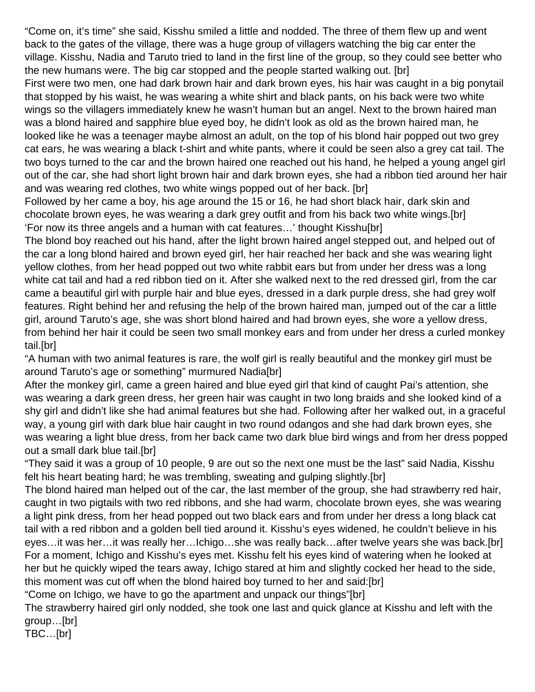"Come on, it's time" she said, Kisshu smiled a little and nodded. The three of them flew up and went back to the gates of the village, there was a huge group of villagers watching the big car enter the village. Kisshu, Nadia and Taruto tried to land in the first line of the group, so they could see better who the new humans were. The big car stopped and the people started walking out. [br]

First were two men, one had dark brown hair and dark brown eyes, his hair was caught in a big ponytail that stopped by his waist, he was wearing a white shirt and black pants, on his back were two white wings so the villagers immediately knew he wasn't human but an angel. Next to the brown haired man was a blond haired and sapphire blue eyed boy, he didn't look as old as the brown haired man, he looked like he was a teenager maybe almost an adult, on the top of his blond hair popped out two grey cat ears, he was wearing a black t-shirt and white pants, where it could be seen also a grey cat tail. The two boys turned to the car and the brown haired one reached out his hand, he helped a young angel girl out of the car, she had short light brown hair and dark brown eyes, she had a ribbon tied around her hair and was wearing red clothes, two white wings popped out of her back. [br]

Followed by her came a boy, his age around the 15 or 16, he had short black hair, dark skin and chocolate brown eyes, he was wearing a dark grey outfit and from his back two white wings.[br] 'For now its three angels and a human with cat features…' thought Kisshu[br]

The blond boy reached out his hand, after the light brown haired angel stepped out, and helped out of the car a long blond haired and brown eyed girl, her hair reached her back and she was wearing light yellow clothes, from her head popped out two white rabbit ears but from under her dress was a long white cat tail and had a red ribbon tied on it. After she walked next to the red dressed girl, from the car came a beautiful girl with purple hair and blue eyes, dressed in a dark purple dress, she had grey wolf features. Right behind her and refusing the help of the brown haired man, jumped out of the car a little girl, around Taruto's age, she was short blond haired and had brown eyes, she wore a yellow dress, from behind her hair it could be seen two small monkey ears and from under her dress a curled monkey tail.[br]

"A human with two animal features is rare, the wolf girl is really beautiful and the monkey girl must be around Taruto's age or something" murmured Nadia[br]

After the monkey girl, came a green haired and blue eyed girl that kind of caught Pai's attention, she was wearing a dark green dress, her green hair was caught in two long braids and she looked kind of a shy girl and didn't like she had animal features but she had. Following after her walked out, in a graceful way, a young girl with dark blue hair caught in two round odangos and she had dark brown eyes, she was wearing a light blue dress, from her back came two dark blue bird wings and from her dress popped out a small dark blue tail.[br]

"They said it was a group of 10 people, 9 are out so the next one must be the last" said Nadia, Kisshu felt his heart beating hard; he was trembling, sweating and gulping slightly.[br]

The blond haired man helped out of the car, the last member of the group, she had strawberry red hair, caught in two pigtails with two red ribbons, and she had warm, chocolate brown eyes, she was wearing a light pink dress, from her head popped out two black ears and from under her dress a long black cat tail with a red ribbon and a golden bell tied around it. Kisshu's eyes widened, he couldn't believe in his eyes…it was her…it was really her…Ichigo…she was really back…after twelve years she was back.[br] For a moment, Ichigo and Kisshu's eyes met. Kisshu felt his eyes kind of watering when he looked at her but he quickly wiped the tears away, Ichigo stared at him and slightly cocked her head to the side, this moment was cut off when the blond haired boy turned to her and said:[br]

"Come on Ichigo, we have to go the apartment and unpack our things"[br]

The strawberry haired girl only nodded, she took one last and quick glance at Kisshu and left with the group…[br]

TBC…[br]